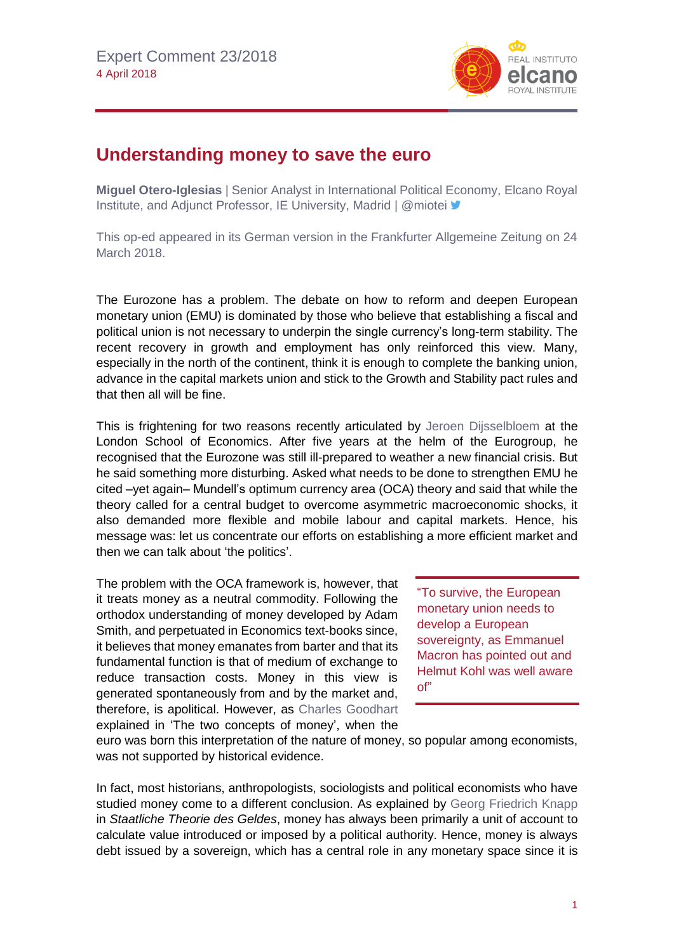

## **Understanding money to save the euro**

**Miguel Otero-Iglesias** | Senior Analyst in International Political Economy, Elcano Royal Institute, and Adjunct Professor, IE University, Madrid | @miotei <sup>■</sup>

This op-ed appeared in its German version in the Frankfurter Allgemeine Zeitung on 24 March 2018.

The Eurozone has a problem. The debate on how to reform and deepen European monetary union (EMU) is dominated by those who believe that establishing a fiscal and political union is not necessary to underpin the single currency's long-term stability. The recent recovery in growth and employment has only reinforced this view. Many, especially in the north of the continent, think it is enough to complete the banking union, advance in the capital markets union and stick to the Growth and Stability pact rules and that then all will be fine.

This is frightening for two reasons recently articulated by Jeroen [Dijsselbloem](http://www.lse.ac.uk/website-archive/newsAndMedia/videoAndAudio/channels/publicLecturesAndEvents/player.aspx?id=3964) at the London School of Economics. After five years at the helm of the Eurogroup, he recognised that the Eurozone was still ill-prepared to weather a new financial crisis. But he said something more disturbing. Asked what needs to be done to strengthen EMU he cited –yet again– Mundell's optimum currency area (OCA) theory and said that while the theory called for a central budget to overcome asymmetric macroeconomic shocks, it also demanded more flexible and mobile labour and capital markets. Hence, his message was: let us concentrate our efforts on establishing a more efficient market and then we can talk about 'the politics'.

The problem with the OCA framework is, however, that it treats money as a neutral commodity. Following the orthodox understanding of money developed by Adam Smith, and perpetuated in Economics text-books since, it believes that money emanates from barter and that its fundamental function is that of medium of exchange to reduce transaction costs. Money in this view is generated spontaneously from and by the market and, therefore, is apolitical. However, as [Charles Goodhart](https://www.sciencedirect.com/science/article/pii/S0176268098000159) explained in 'The two concepts of money', when the

"To survive, the European monetary union needs to develop a European sovereignty, as Emmanuel Macron has pointed out and Helmut Kohl was well aware of"

euro was born this interpretation of the nature of money, so popular among economists, was not supported by historical evidence.

In fact, most historians, anthropologists, sociologists and political economists who have studied money come to a different conclusion. As explained by [Georg Friedrich Knapp](https://www.amazon.de/Staatliche-Theorie-Geldes-Georg-Friedrich/dp/3845723564) in *Staatliche Theorie des Geldes*, money has always been primarily a unit of account to calculate value introduced or imposed by a political authority. Hence, money is always debt issued by a sovereign, which has a central role in any monetary space since it is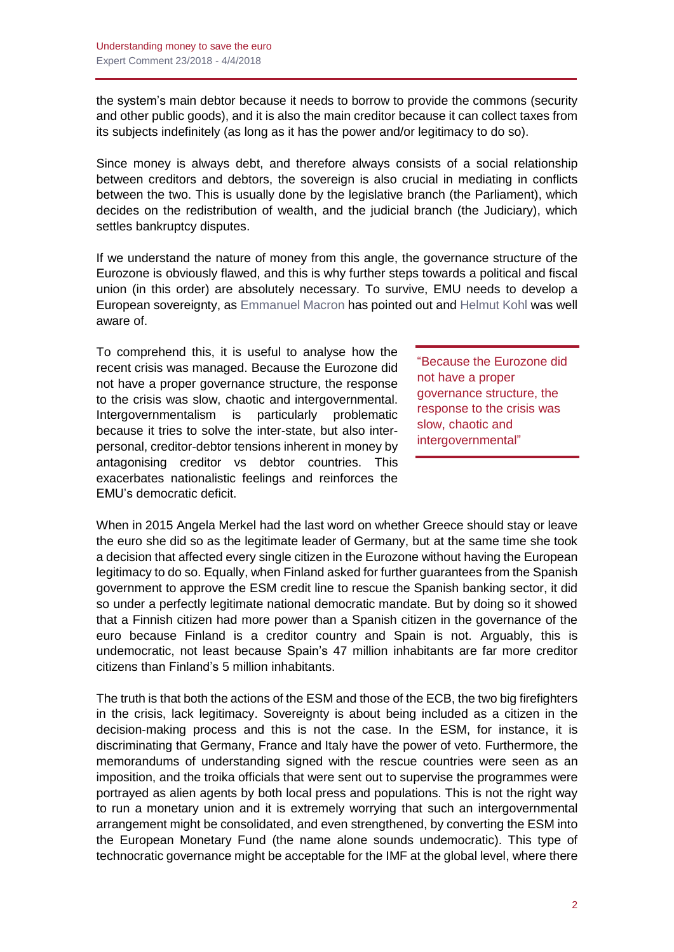the system's main debtor because it needs to borrow to provide the commons (security and other public goods), and it is also the main creditor because it can collect taxes from its subjects indefinitely (as long as it has the power and/or legitimacy to do so).

Since money is always debt, and therefore always consists of a social relationship between creditors and debtors, the sovereign is also crucial in mediating in conflicts between the two. This is usually done by the legislative branch (the Parliament), which decides on the redistribution of wealth, and the judicial branch (the Judiciary), which settles bankruptcy disputes.

If we understand the nature of money from this angle, the governance structure of the Eurozone is obviously flawed, and this is why further steps towards a political and fiscal union (in this order) are absolutely necessary. To survive, EMU needs to develop a European sovereignty, as [Emmanuel](http://www.elysee.fr/assets/Initiative-for-Europe-a-sovereign-united-democratic-Europe-Emmanuel-Macron.pdf) Macron has pointed out and [Helmut Kohl](http://www.realinstitutoelcano.org/wps/wcm/connect/e634358a-d8bd-42d9-abb8-4f923f48452c/WP8-2014-OteroIglesias-Germany-and-political-union-in-Europe-France.pdf?MOD=AJPERES&CACHEID=e634358a-d8bd-42d9-abb8-4f923f48452c) was well aware of.

To comprehend this, it is useful to analyse how the recent crisis was managed. Because the Eurozone did not have a proper governance structure, the response to the crisis was slow, chaotic and intergovernmental. Intergovernmentalism is particularly problematic because it tries to solve the inter-state, but also interpersonal, creditor-debtor tensions inherent in money by antagonising creditor vs debtor countries. This exacerbates nationalistic feelings and reinforces the EMU's democratic deficit.

"Because the Eurozone did not have a proper governance structure, the response to the crisis was slow, chaotic and intergovernmental"

When in 2015 Angela Merkel had the last word on whether Greece should stay or leave the euro she did so as the legitimate leader of Germany, but at the same time she took a decision that affected every single citizen in the Eurozone without having the European legitimacy to do so. Equally, when Finland asked for further guarantees from the Spanish government to approve the ESM credit line to rescue the Spanish banking sector, it did so under a perfectly legitimate national democratic mandate. But by doing so it showed that a Finnish citizen had more power than a Spanish citizen in the governance of the euro because Finland is a creditor country and Spain is not. Arguably, this is undemocratic, not least because Spain's 47 million inhabitants are far more creditor citizens than Finland's 5 million inhabitants.

The truth is that both the actions of the ESM and those of the ECB, the two big firefighters in the crisis, lack legitimacy. Sovereignty is about being included as a citizen in the decision-making process and this is not the case. In the ESM, for instance, it is discriminating that Germany, France and Italy have the power of veto. Furthermore, the memorandums of understanding signed with the rescue countries were seen as an imposition, and the troika officials that were sent out to supervise the programmes were portrayed as alien agents by both local press and populations. This is not the right way to run a monetary union and it is extremely worrying that such an intergovernmental arrangement might be consolidated, and even strengthened, by converting the ESM into the European Monetary Fund (the name alone sounds undemocratic). This type of technocratic governance might be acceptable for the IMF at the global level, where there